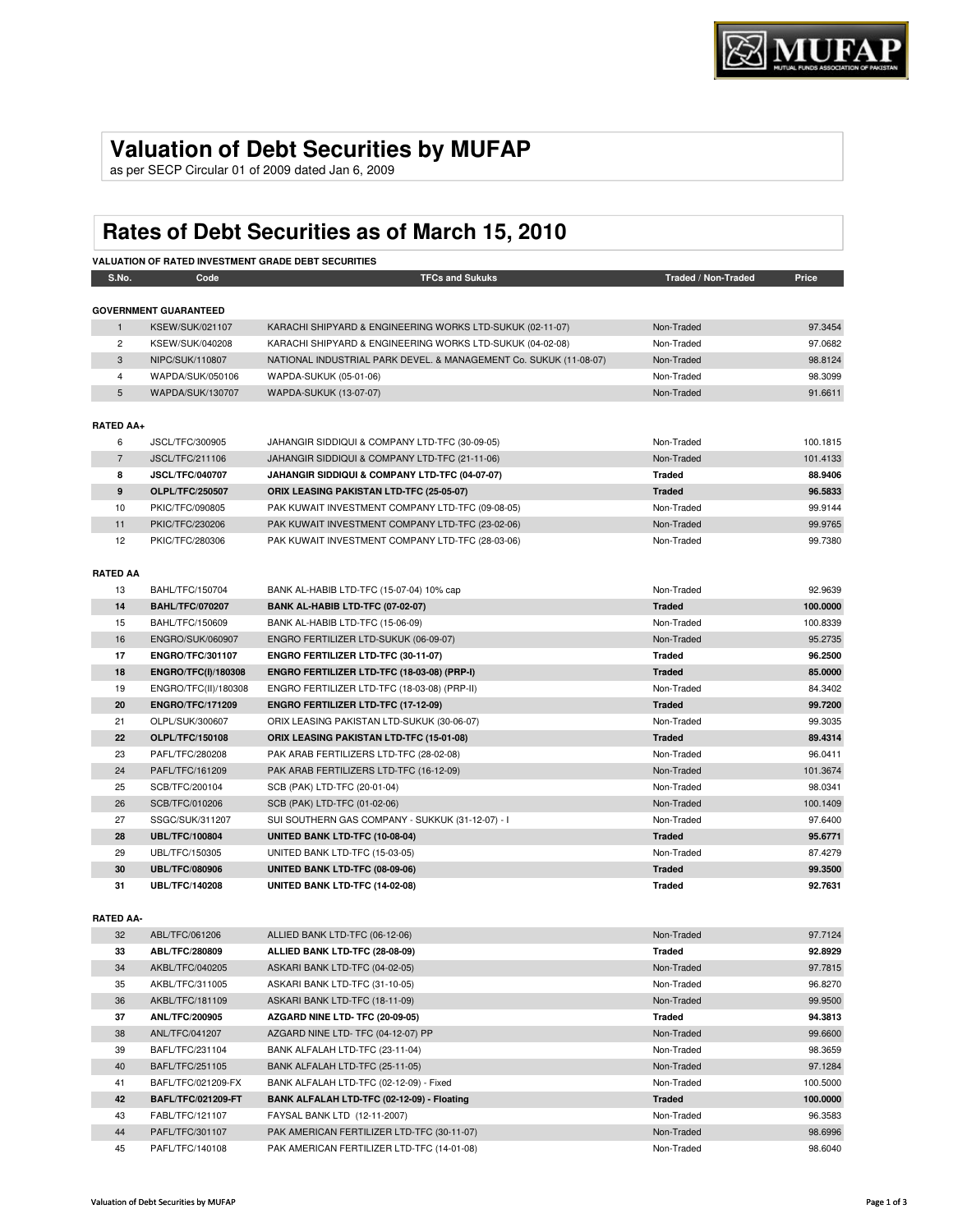## **Valuation of Debt Securities by MUFAP**

as per SECP Circular 01 of 2009 dated Jan 6, 2009

# **Rates of Debt Securities as of March 15, 2010**

| <b>VALUATION OF RATED INVESTMENT GRADE DEBT SECURITIES</b> |                              |                                                                   |                     |          |
|------------------------------------------------------------|------------------------------|-------------------------------------------------------------------|---------------------|----------|
| S.No.                                                      | Code                         | <b>TFCs and Sukuks</b>                                            | Traded / Non-Traded | Price    |
|                                                            | <b>GOVERNMENT GUARANTEED</b> |                                                                   |                     |          |
| $\mathbf{1}$                                               | KSEW/SUK/021107              | KARACHI SHIPYARD & ENGINEERING WORKS LTD-SUKUK (02-11-07)         | Non-Traded          | 97.3454  |
| $\overline{2}$                                             | KSEW/SUK/040208              | KARACHI SHIPYARD & ENGINEERING WORKS LTD-SUKUK (04-02-08)         | Non-Traded          | 97.0682  |
| 3                                                          | NIPC/SUK/110807              | NATIONAL INDUSTRIAL PARK DEVEL. & MANAGEMENT Co. SUKUK (11-08-07) | Non-Traded          | 98.8124  |
| $\overline{4}$                                             | WAPDA/SUK/050106             | WAPDA-SUKUK (05-01-06)                                            | Non-Traded          | 98.3099  |
| $5\phantom{.0}$                                            | WAPDA/SUK/130707             | WAPDA-SUKUK (13-07-07)                                            | Non-Traded          | 91.6611  |
|                                                            |                              |                                                                   |                     |          |
| <b>RATED AA+</b>                                           |                              |                                                                   |                     |          |
| 6                                                          | JSCL/TFC/300905              | JAHANGIR SIDDIQUI & COMPANY LTD-TFC (30-09-05)                    | Non-Traded          | 100.1815 |
| $\overline{7}$                                             | JSCL/TFC/211106              | JAHANGIR SIDDIQUI & COMPANY LTD-TFC (21-11-06)                    | Non-Traded          | 101.4133 |
| 8                                                          | <b>JSCL/TFC/040707</b>       | JAHANGIR SIDDIQUI & COMPANY LTD-TFC (04-07-07)                    | Traded              | 88.9406  |
| 9                                                          | <b>OLPL/TFC/250507</b>       | ORIX LEASING PAKISTAN LTD-TFC (25-05-07)                          | <b>Traded</b>       | 96.5833  |
| 10                                                         | PKIC/TFC/090805              | PAK KUWAIT INVESTMENT COMPANY LTD-TFC (09-08-05)                  | Non-Traded          | 99.9144  |
| 11                                                         | PKIC/TFC/230206              | PAK KUWAIT INVESTMENT COMPANY LTD-TFC (23-02-06)                  | Non-Traded          | 99.9765  |
| 12                                                         | PKIC/TFC/280306              | PAK KUWAIT INVESTMENT COMPANY LTD-TFC (28-03-06)                  | Non-Traded          | 99.7380  |
|                                                            |                              |                                                                   |                     |          |
| <b>RATED AA</b>                                            |                              |                                                                   |                     |          |
| 13                                                         | BAHL/TFC/150704              | BANK AL-HABIB LTD-TFC (15-07-04) 10% cap                          | Non-Traded          | 92.9639  |
| 14                                                         | <b>BAHL/TFC/070207</b>       | BANK AL-HABIB LTD-TFC (07-02-07)                                  | <b>Traded</b>       | 100.0000 |
| 15                                                         | BAHL/TFC/150609              | BANK AL-HABIB LTD-TFC (15-06-09)                                  | Non-Traded          | 100.8339 |
| 16                                                         | ENGRO/SUK/060907             | ENGRO FERTILIZER LTD-SUKUK (06-09-07)                             | Non-Traded          | 95.2735  |
| 17                                                         | <b>ENGRO/TFC/301107</b>      | ENGRO FERTILIZER LTD-TFC (30-11-07)                               | Traded              | 96.2500  |
| 18                                                         | <b>ENGRO/TFC(I)/180308</b>   | ENGRO FERTILIZER LTD-TFC (18-03-08) (PRP-I)                       | <b>Traded</b>       | 85.0000  |
| 19                                                         | ENGRO/TFC(II)/180308         | ENGRO FERTILIZER LTD-TFC (18-03-08) (PRP-II)                      | Non-Traded          | 84.3402  |
| 20                                                         | <b>ENGRO/TFC/171209</b>      | ENGRO FERTILIZER LTD-TFC (17-12-09)                               | <b>Traded</b>       | 99.7200  |
| 21                                                         | OLPL/SUK/300607              | ORIX LEASING PAKISTAN LTD-SUKUK (30-06-07)                        | Non-Traded          | 99.3035  |
| 22                                                         | <b>OLPL/TFC/150108</b>       | <b>ORIX LEASING PAKISTAN LTD-TFC (15-01-08)</b>                   | <b>Traded</b>       | 89.4314  |
| 23                                                         | PAFL/TFC/280208              | PAK ARAB FERTILIZERS LTD-TFC (28-02-08)                           | Non-Traded          | 96.0411  |
| 24                                                         | PAFL/TFC/161209              | PAK ARAB FERTILIZERS LTD-TFC (16-12-09)                           | Non-Traded          | 101.3674 |
| 25                                                         | SCB/TFC/200104               | SCB (PAK) LTD-TFC (20-01-04)                                      | Non-Traded          | 98.0341  |
| 26                                                         | SCB/TFC/010206               | SCB (PAK) LTD-TFC (01-02-06)                                      | Non-Traded          | 100.1409 |
| 27                                                         | SSGC/SUK/311207              | SUI SOUTHERN GAS COMPANY - SUKKUK (31-12-07) - I                  | Non-Traded          | 97.6400  |
| 28                                                         | <b>UBL/TFC/100804</b>        | UNITED BANK LTD-TFC (10-08-04)                                    | <b>Traded</b>       | 95.6771  |
| 29                                                         | UBL/TFC/150305               | UNITED BANK LTD-TFC (15-03-05)                                    | Non-Traded          | 87.4279  |
| 30                                                         | <b>UBL/TFC/080906</b>        | UNITED BANK LTD-TFC (08-09-06)                                    | <b>Traded</b>       | 99.3500  |
| 31                                                         | <b>UBL/TFC/140208</b>        | UNITED BANK LTD-TFC (14-02-08)                                    | <b>Traded</b>       | 92.7631  |
|                                                            |                              |                                                                   |                     |          |
| <b>RATED AA-</b>                                           |                              |                                                                   |                     |          |
| 32                                                         | ABL/TFC/061206               | ALLIED BANK LTD-TFC (06-12-06)                                    | Non-Traded          | 97.7124  |
| 33                                                         | ABL/TFC/280809               | ALLIED BANK LTD-TFC (28-08-09)                                    | <b>Traded</b>       | 92.8929  |
| 34                                                         | AKBL/TFC/040205              | ASKARI BANK LTD-TFC (04-02-05)                                    | Non-Traded          | 97.7815  |
| 35                                                         | AKBL/TFC/311005              | ASKARI BANK LTD-TFC (31-10-05)                                    | Non-Traded          | 96.8270  |
| 36                                                         | AKBL/TFC/181109              | ASKARI BANK LTD-TFC (18-11-09)                                    | Non-Traded          | 99.9500  |
| 37                                                         | <b>ANL/TFC/200905</b>        | AZGARD NINE LTD- TFC (20-09-05)                                   | <b>Traded</b>       | 94.3813  |
| 38                                                         | ANL/TFC/041207               | AZGARD NINE LTD- TFC (04-12-07) PP                                | Non-Traded          | 99.6600  |
| 39                                                         | BAFL/TFC/231104              | BANK ALFALAH LTD-TFC (23-11-04)                                   | Non-Traded          | 98.3659  |
| 40                                                         | BAFL/TFC/251105              | BANK ALFALAH LTD-TFC (25-11-05)                                   | Non-Traded          | 97.1284  |
| 41                                                         | BAFL/TFC/021209-FX           | BANK ALFALAH LTD-TFC (02-12-09) - Fixed                           | Non-Traded          | 100.5000 |
| 42                                                         | <b>BAFL/TFC/021209-FT</b>    | BANK ALFALAH LTD-TFC (02-12-09) - Floating                        | <b>Traded</b>       | 100.0000 |

43 FABL/TFC/121107 FAYSAL BANK LTD (12-11-2007)<br>44 PAFL/TFC/301107 PAK AMERICAN FERTILIZER LTD-TFC (30-11-07) Non-Traded Non-Traded 98.6996 44 PAFL/TFC/301107 PAK AMERICAN FERTILIZER LTD-TFC (30-11-07) Non-Traded Non-Traded 98.6996 45 PAFL/TFC/140108 PAK AMERICAN FERTILIZER LTD-TFC (14-01-08) Non-Traded Non-Traded 98.6040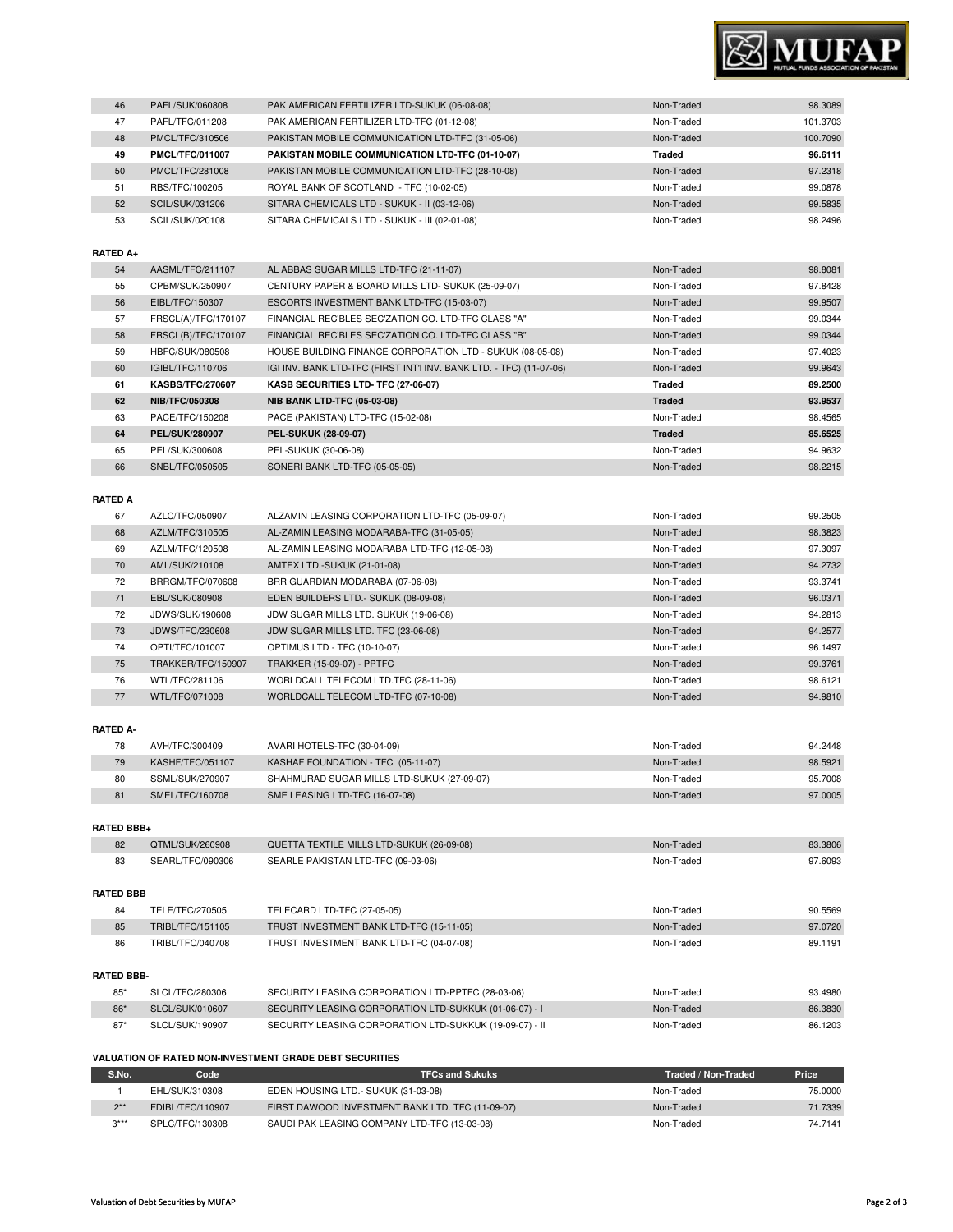

| 46                                                      | PAFL/SUK/060808         | PAK AMERICAN FERTILIZER LTD-SUKUK (06-08-08)                        | Non-Traded    | 98.3089  |
|---------------------------------------------------------|-------------------------|---------------------------------------------------------------------|---------------|----------|
| 47                                                      | PAFL/TFC/011208         | PAK AMERICAN FERTILIZER LTD-TFC (01-12-08)                          | Non-Traded    | 101.3703 |
| 48                                                      | PMCL/TFC/310506         | PAKISTAN MOBILE COMMUNICATION LTD-TFC (31-05-06)                    | Non-Traded    | 100.7090 |
| 49                                                      | <b>PMCL/TFC/011007</b>  | PAKISTAN MOBILE COMMUNICATION LTD-TFC (01-10-07)                    | <b>Traded</b> | 96.6111  |
| 50                                                      | PMCL/TFC/281008         | PAKISTAN MOBILE COMMUNICATION LTD-TFC (28-10-08)                    | Non-Traded    | 97.2318  |
| 51                                                      | RBS/TFC/100205          | ROYAL BANK OF SCOTLAND - TFC (10-02-05)                             | Non-Traded    | 99.0878  |
| 52                                                      | <b>SCIL/SUK/031206</b>  | SITARA CHEMICALS LTD - SUKUK - II (03-12-06)                        | Non-Traded    | 99.5835  |
| 53                                                      | SCIL/SUK/020108         | SITARA CHEMICALS LTD - SUKUK - III (02-01-08)                       | Non-Traded    | 98.2496  |
|                                                         |                         |                                                                     |               |          |
| RATED A+                                                |                         |                                                                     |               |          |
| 54                                                      | AASML/TFC/211107        | AL ABBAS SUGAR MILLS LTD-TFC (21-11-07)                             | Non-Traded    | 98.8081  |
| 55                                                      | CPBM/SUK/250907         | CENTURY PAPER & BOARD MILLS LTD- SUKUK (25-09-07)                   | Non-Traded    | 97.8428  |
| 56                                                      | EIBL/TFC/150307         | ESCORTS INVESTMENT BANK LTD-TFC (15-03-07)                          | Non-Traded    | 99.9507  |
| 57                                                      | FRSCL(A)/TFC/170107     | FINANCIAL REC'BLES SEC'ZATION CO. LTD-TFC CLASS "A"                 | Non-Traded    | 99.0344  |
| 58                                                      | FRSCL(B)/TFC/170107     | FINANCIAL REC'BLES SEC'ZATION CO. LTD-TFC CLASS "B"                 | Non-Traded    | 99.0344  |
| 59                                                      | HBFC/SUK/080508         | HOUSE BUILDING FINANCE CORPORATION LTD - SUKUK (08-05-08)           | Non-Traded    | 97.4023  |
| 60                                                      | IGIBL/TFC/110706        | IGI INV. BANK LTD-TFC (FIRST INT'I INV. BANK LTD. - TFC) (11-07-06) | Non-Traded    | 99.9643  |
| 61                                                      | <b>KASBS/TFC/270607</b> | KASB SECURITIES LTD- TFC (27-06-07)                                 | <b>Traded</b> | 89.2500  |
| 62                                                      | <b>NIB/TFC/050308</b>   | <b>NIB BANK LTD-TFC (05-03-08)</b>                                  | <b>Traded</b> | 93.9537  |
| 63                                                      | PACE/TFC/150208         | PACE (PAKISTAN) LTD-TFC (15-02-08)                                  | Non-Traded    | 98.4565  |
| 64                                                      | PEL/SUK/280907          | PEL-SUKUK (28-09-07)                                                | <b>Traded</b> | 85.6525  |
| 65                                                      | PEL/SUK/300608          | PEL-SUKUK (30-06-08)                                                | Non-Traded    | 94.9632  |
| 66                                                      | SNBL/TFC/050505         | SONERI BANK LTD-TFC (05-05-05)                                      | Non-Traded    | 98.2215  |
|                                                         |                         |                                                                     |               |          |
| RATED A                                                 |                         |                                                                     |               |          |
| 67                                                      | AZLC/TFC/050907         | ALZAMIN LEASING CORPORATION LTD-TFC (05-09-07)                      | Non-Traded    | 99.2505  |
| 68                                                      | AZLM/TFC/310505         | AL-ZAMIN LEASING MODARABA-TFC (31-05-05)                            | Non-Traded    | 98.3823  |
| 69                                                      | AZLM/TFC/120508         | AL-ZAMIN LEASING MODARABA LTD-TFC (12-05-08)                        | Non-Traded    | 97.3097  |
| 70                                                      | AML/SUK/210108          | AMTEX LTD.-SUKUK (21-01-08)                                         | Non-Traded    | 94.2732  |
| 72                                                      | BRRGM/TFC/070608        | BRR GUARDIAN MODARABA (07-06-08)                                    | Non-Traded    | 93.3741  |
| 71                                                      | EBL/SUK/080908          | EDEN BUILDERS LTD. - SUKUK (08-09-08)                               | Non-Traded    | 96.0371  |
| 72                                                      | JDWS/SUK/190608         | JDW SUGAR MILLS LTD. SUKUK (19-06-08)                               | Non-Traded    | 94.2813  |
| 73                                                      | JDWS/TFC/230608         | JDW SUGAR MILLS LTD. TFC (23-06-08)                                 | Non-Traded    | 94.2577  |
| 74                                                      | OPTI/TFC/101007         | OPTIMUS LTD - TFC (10-10-07)                                        | Non-Traded    | 96.1497  |
| 75                                                      | TRAKKER/TFC/150907      | <b>TRAKKER (15-09-07) - PPTFC</b>                                   | Non-Traded    | 99.3761  |
| 76                                                      | WTL/TFC/281106          | WORLDCALL TELECOM LTD.TFC (28-11-06)                                | Non-Traded    | 98.6121  |
| 77                                                      | WTL/TFC/071008          | WORLDCALL TELECOM LTD-TFC (07-10-08)                                | Non-Traded    | 94.9810  |
|                                                         |                         |                                                                     |               |          |
| RATED A-                                                |                         |                                                                     |               |          |
| 78                                                      | AVH/TFC/300409          | AVARI HOTELS-TFC (30-04-09)                                         | Non-Traded    | 94.2448  |
| 79                                                      | KASHF/TFC/051107        | KASHAF FOUNDATION - TFC (05-11-07)                                  | Non-Traded    | 98.5921  |
| 80                                                      | SSML/SUK/270907         | SHAHMURAD SUGAR MILLS LTD-SUKUK (27-09-07)                          | Non-Traded    | 95.7008  |
| 81                                                      | SMEL/TFC/160708         | SME LEASING LTD-TFC (16-07-08)                                      | Non-Traded    | 97.0005  |
|                                                         |                         |                                                                     |               |          |
| <b>RATED BBB+</b>                                       |                         |                                                                     |               |          |
| 82                                                      | QTML/SUK/260908         | QUETTA TEXTILE MILLS LTD-SUKUK (26-09-08)                           | Non-Traded    | 83.3806  |
| 83                                                      | SEARL/TFC/090306        | SEARLE PAKISTAN LTD-TFC (09-03-06)                                  | Non-Traded    | 97.6093  |
|                                                         |                         |                                                                     |               |          |
| <b>RATED BBB</b>                                        |                         |                                                                     |               |          |
| 84                                                      | TELE/TFC/270505         | TELECARD LTD-TFC (27-05-05)                                         | Non-Traded    | 90.5569  |
| 85                                                      | TRIBL/TFC/151105        | TRUST INVESTMENT BANK LTD-TFC (15-11-05)                            | Non-Traded    | 97.0720  |
| 86                                                      | TRIBL/TFC/040708        | TRUST INVESTMENT BANK LTD-TFC (04-07-08)                            | Non-Traded    | 89.1191  |
|                                                         |                         |                                                                     |               |          |
| RATED BBB-                                              |                         |                                                                     |               |          |
| $85*$                                                   | SLCL/TFC/280306         | SECURITY LEASING CORPORATION LTD-PPTFC (28-03-06)                   | Non-Traded    | 93.4980  |
| 86*                                                     | SLCL/SUK/010607         | SECURITY LEASING CORPORATION LTD-SUKKUK (01-06-07) - I              | Non-Traded    | 86.3830  |
| $87*$                                                   | SLCL/SUK/190907         | SECURITY LEASING CORPORATION LTD-SUKKUK (19-09-07) - II             | Non-Traded    | 86.1203  |
|                                                         |                         |                                                                     |               |          |
| VALUATION OF RATED NON-INVESTMENT GRADE DEBT SECURITIES |                         |                                                                     |               |          |

## **S.No. Code TFCs and Sukuks Traded / Non-Traded Price** 1 EHL/SUK/310308 EDEN HOUSING LTD.- SUKUK (31-03-08) Non-Traded Non-Traded 75.0000<br>2\*\* FDIBL/TFC/110907 FIRST DAWOOD INVESTMENT BANK LTD. TFC (11-09-07) Non-Traded Non-Traded 71.7339 2\*\* FDIBL/TFC/110907 FIRST DAWOOD INVESTMENT BANK LTD. TFC (11-09-07) Non-Traded Non-Traded 71.7339<br>3\*\*\* SPLC/TFC/130308 SAUDI PAK LEASING COMPANY LTD-TFC (13-03-08) Non-Traded Non-Traded 74.7141 SPLC/TFC/130308 SAUDI PAK LEASING COMPANY LTD-TFC (13-03-08) Non-Traded Non-Traded 74.7141